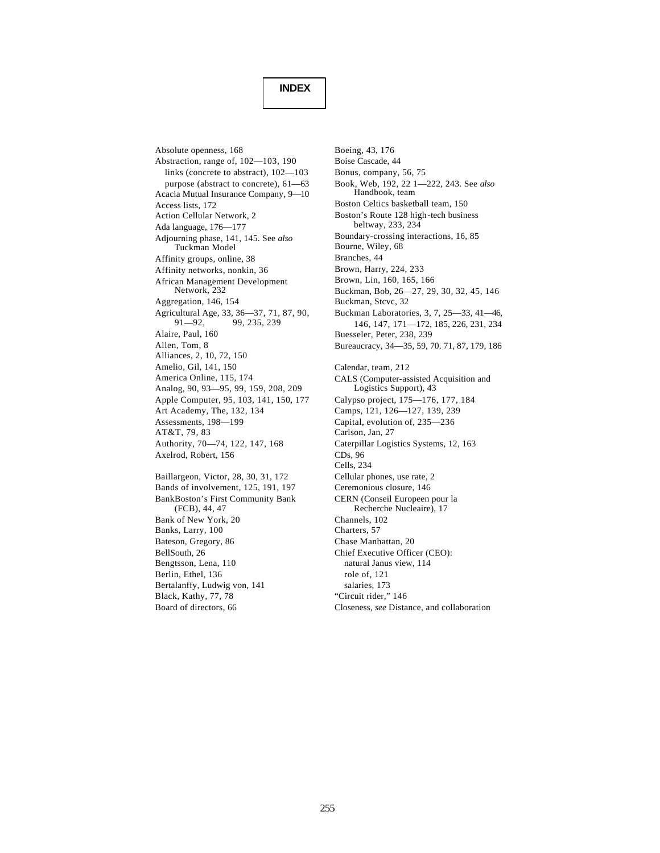## **INDEX**

Absolute openness, 168 Abstraction, range of, 102—103, 190 links (concrete to abstract), 102—103 purpose (abstract to concrete), 61—63 Acacia Mutual Insurance Company, 9—10 Access lists, 172 Action Cellular Network, 2 Ada language, 176—177 Adjourning phase, 141, 145. See *also* Tuckman Model Affinity groups, online, 38 Affinity networks, nonkin, 36 African Management Development Network, 232 Aggregation, 146, 154 Agricultural Age, 33, 36—37, 71, 87, 90,<br>91—92, 99, 235, 239 99, 235, 239 Alaire, Paul, 160 Allen, Tom, 8 Alliances, 2, 10, 72, 150 Amelio, Gil, 141, 150 America Online, 115, 174 Analog, 90, 93—95, 99, 159, 208, 209 Apple Computer, 95, 103, 141, 150, 177 Art Academy, The, 132, 134 Assessments, 198—199 AT&T, 79, 83 Authority, 70—74, 122, 147, 168 Axelrod, Robert, 156 Baillargeon, Victor, 28, 30, 31, 172 Bands of involvement, 125, 191, 197 BankBoston's First Community Bank (FCB), 44, 47 Bank of New York, 20 Banks, Larry, 100 Bateson, Gregory, 86 BellSouth, 26 Bengtsson, Lena, 110 Berlin, Ethel, 136 Bertalanffy, Ludwig von, 141 Black, Kathy, 77, 78

Board of directors, 66

Boeing, 43, 176 Boise Cascade, 44 Bonus, company, 56, 75 Book, Web, 192, 22 1—222, 243. See *also* Handbook, team Boston Celtics basketball team, 150 Boston's Route 128 high-tech business beltway, 233, 234 Boundary-crossing interactions, 16, 85 Bourne, Wiley, 68 Branches, 44 Brown, Harry, 224, 233 Brown, Lin, 160, 165, 166 Buckman, Bob, 26—27, 29, 30, 32, 45, 146 Buckman, Stcvc, 32 Buckman Laboratories, 3, 7, 25—33, 41—46, 146, 147, 171—172, 185, 226, 231, 234 Buesseler, Peter, 238, 239 Bureaucracy, 34—35, 59, 70. 71, 87, 179, 186 Calendar, team, 212 CALS (Computer-assisted Acquisition and Logistics Support), 43 Calypso project, 175—176, 177, 184 Camps, 121, 126—127, 139, 239 Capital, evolution of, 235—236 Carlson, Jan, 27 Caterpillar Logistics Systems, 12, 163 CDs, 96 Cells, 234 Cellular phones, use rate, 2 Ceremonious closure, 146 CERN (Conseil Europeen pour la Recherche Nucleaire), 17 Channels, 102 Charters, 57 Chase Manhattan, 20 Chief Executive Officer (CEO): natural Janus view, 114 role of, 121 salaries, 173 "Circuit rider," 146

Closeness, *see* Distance, and collaboration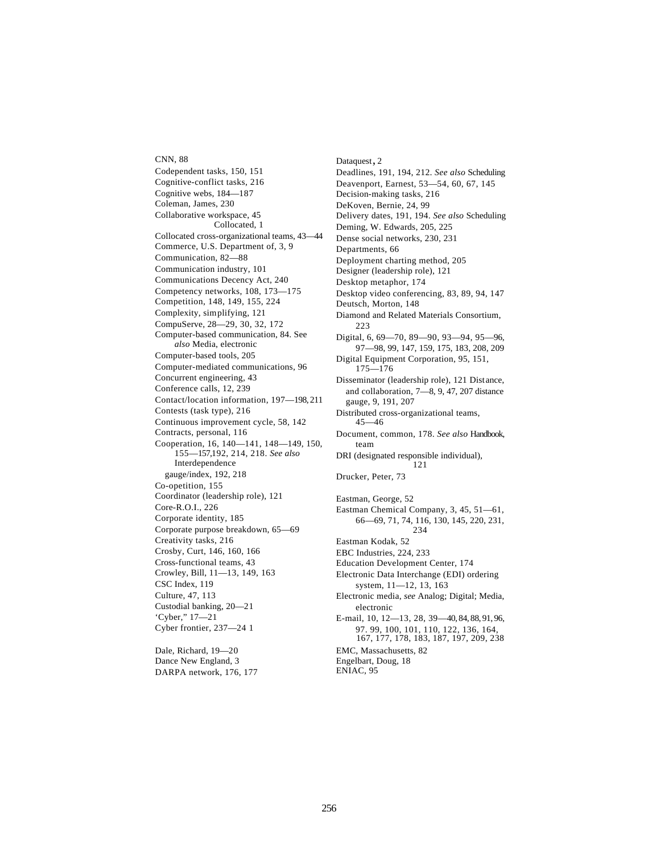CNN, 88 Codependent tasks, 150, 151 Cognitive-conflict tasks, 216 Cognitive webs, 184—187 Coleman, James, 230 Collaborative workspace, 45 Collocated, 1 Collocated cross-organizational teams, 43—44 Commerce, U.S. Department of, 3, 9 Communication, 82—88 Communication industry, 101 Communications Decency Act, 240 Competency networks, 108, 173—175 Competition, 148, 149, 155, 224 Complexity, simplifying, 121 CompuServe, 28—29, 30, 32, 172 Computer-based communication, 84. See *also* Media, electronic Computer-based tools, 205 Computer-mediated communications, 96 Concurrent engineering, 43 Conference calls, 12, 239 Contact/location information, 197—198, 211 Contests (task type), 216 Continuous improvement cycle, 58, 142 Contracts, personal, 116 Cooperation, 16, 140—141, 148—149, 150, 155—157,192, 214, 218. *See also* Interdependence gauge/index, 192, 218 Co-opetition, 155 Coordinator (leadership role), 121 Core-R.O.I., 226 Corporate identity, 185 Corporate purpose breakdown, 65—69 Creativity tasks, 216 Crosby, Curt, 146, 160, 166 Cross-functional teams, 43 Crowley, Bill, 11—13, 149, 163 CSC Index, 119 Culture, 47, 113 Custodial banking, 20—21 'Cyber," 17—21 Cyber frontier, 237—24 1

Dale, Richard, 19—20 Dance New England, 3 DARPA network, 176, 177 Dataquest, 2 Deadlines, 191, 194, 212. *See also* Scheduling Deavenport, Earnest, 53—54, 60, 67, 145 Decision-making tasks, 216 DeKoven, Bernie, 24, 99 Delivery dates, 191, 194. *See also* Scheduling Deming, W. Edwards, 205, 225 Dense social networks, 230, 231 Departments, 66 Deployment charting method, 205 Designer (leadership role), 121 Desktop metaphor, 174 Desktop video conferencing, 83, 89, 94, 147 Deutsch, Morton, 148 Diamond and Related Materials Consortium,  $223$ Digital, 6, 69—70, 89—90, 93—94, 95—96, 97—98, 99, 147, 159, 175, 183, 208, 209 Digital Equipment Corporation, 95, 151, 175—176 Disseminator (leadership role), 121 Distance, and collaboration, 7—8, 9, 47, 207 distance gauge, 9, 191, 207 Distributed cross-organizational teams, 45—46 Document, common, 178. *See also* Handbook, team DRI (designated responsible individual), 121 Drucker, Peter, 73 Eastman, George, 52 Eastman Chemical Company, 3, 45, 51—61, 66—69, 71, 74, 116, 130, 145, 220, 231, 234 Eastman Kodak, 52 EBC Industries, 224, 233 Education Development Center, 174 Electronic Data Interchange (EDI) ordering system, 11—12, 13, 163 Electronic media, *see* Analog; Digital; Media, electronic E-mail, 10, 12—13, 28, 39—40, 84, 88, 91, 96, 97. 99, 100, 101, 110, 122, 136, 164, 167, 177, 178, 183, 187, 197, 209, 238 EMC, Massachusetts, 82 Engelbart, Doug, 18 ENIAC, 95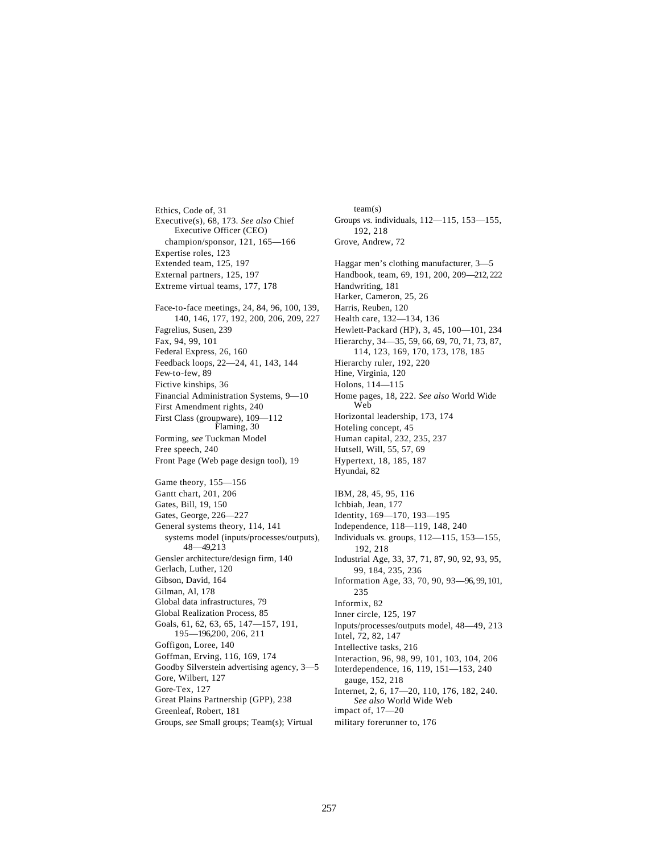Ethics, Code of, 31 Executive(s), 68, 173. *See also* Chief Executive Officer (CEO) champion/sponsor, 121, 165—166 Expertise roles, 123 Extended team, 125, 197 External partners, 125, 197 Extreme virtual teams, 177, 178 Face-to-face meetings, 24, 84, 96, 100, 139, 140, 146, 177, 192, 200, 206, 209, 227 Fagrelius, Susen, 239 Fax, 94, 99, 101 Federal Express, 26, 160 Feedback loops, 22—24, 41, 143, 144 Few-to-few, 89 Fictive kinships, 36 Financial Administration Systems, 9—10 First Amendment rights, 240 First Class (groupware), 109—112 Flaming, 30 Forming, *see* Tuckman Model Free speech, 240 Front Page (Web page design tool), 19 Game theory, 155—156 Gantt chart, 201, 206 Gates, Bill, 19, 150 Gates, George, 226—227 General systems theory, 114, 141 systems model (inputs/processes/outputs), 48—49,213 Gensler architecture/design firm, 140 Gerlach, Luther, 120 Gibson, David, 164 Gilman, Al, 178 Global data infrastructures, 79 Global Realization Process, 85 Goals, 61, 62, 63, 65, 147—157, 191, 195—196,200, 206, 211 Goffigon, Loree, 140 Goffman, Erving, 116, 169, 174 Goodby Silverstein advertising agency, 3—5 Gore, Wilbert, 127 Gore-Tex, 127 Great Plains Partnership (GPP), 238 Greenleaf, Robert, 181 Groups, *see* Small groups; Team(s); Virtual

Groups *vs.* individuals, 112—115, 153—155, 192, 218 Grove, Andrew, 72 Haggar men's clothing manufacturer, 3—5 Handbook, team, 69, 191, 200, 209—212, 222 Handwriting, 181 Harker, Cameron, 25, 26 Harris, Reuben, 120 Health care, 132—134, 136 Hewlett-Packard (HP), 3, 45, 100—101, 234 Hierarchy, 34—35, 59, 66, 69, 70, 71, 73, 87, 114, 123, 169, 170, 173, 178, 185 Hierarchy ruler, 192, 220 Hine, Virginia, 120 Holons, 114—115 Home pages, 18, 222. *See also* World Wide Web Horizontal leadership, 173, 174 Hoteling concept, 45 Human capital, 232, 235, 237 Hutsell, Will, 55, 57, 69 Hypertext, 18, 185, 187 Hyundai, 82 IBM, 28, 45, 95, 116 Ichbiah, Jean, 177 Identity, 169—170, 193—195 Independence, 118—119, 148, 240 Individuals *vs.* groups, 112—115, 153—155, 192, 218 Industrial Age, 33, 37, 71, 87, 90, 92, 93, 95, 99, 184, 235, 236 Information Age, 33, 70, 90, 93—96, 99, 101, 235 Informix, 82 Inner circle, 125, 197 Inputs/processes/outputs model, 48—49, 213 Intel, 72, 82, 147 Intellective tasks, 216 Interaction, 96, 98, 99, 101, 103, 104, 206 Interdependence, 16, 119, 151—153, 240 gauge, 152, 218 Internet, 2, 6, 17—20, 110, 176, 182, 240. *See also* World Wide Web impact of, 17—20 military forerunner to, 176

team(s)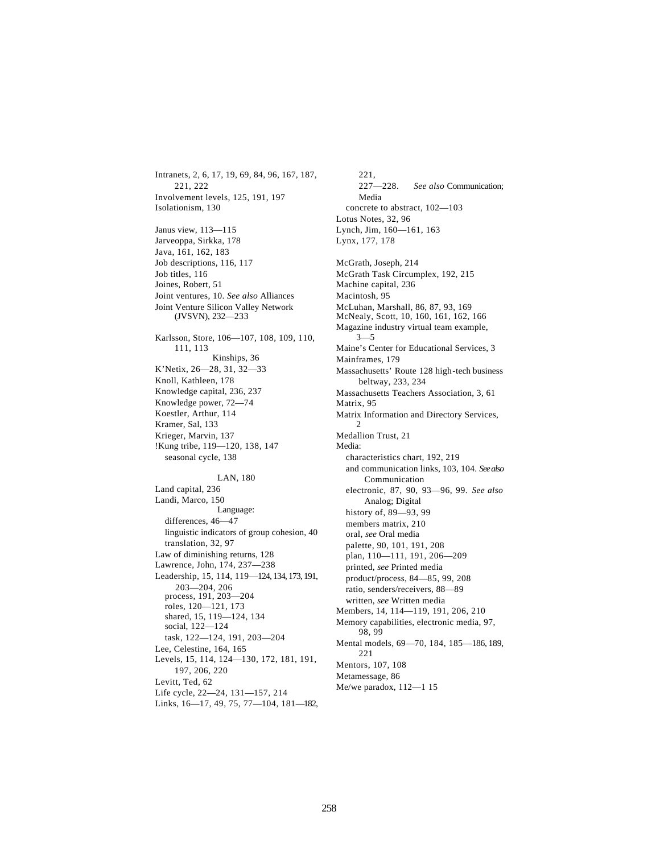Intranets, 2, 6, 17, 19, 69, 84, 96, 167, 187, 221, 222 Involvement levels, 125, 191, 197 Isolationism, 130 Janus view, 113—115 Jarveoppa, Sirkka, 178 Java, 161, 162, 183 Job descriptions, 116, 117 Job titles, 116 Joines, Robert, 51 Joint ventures, 10. *See also* Alliances Joint Venture Silicon Valley Network (JVSVN), 232—233 Karlsson, Store, 106—107, 108, 109, 110, 111, 113 Kinships, 36 K'Netix, 26—28, 31, 32—33 Knoll, Kathleen, 178 Knowledge capital, 236, 237 Knowledge power, 72—74 Koestler, Arthur, 114 Kramer, Sal, 133 Krieger, Marvin, 137 !Kung tribe, 119—120, 138, 147 seasonal cycle, 138 LAN, 180 Land capital, 236 Landi, Marco, 150 Language: differences, 46—47 linguistic indicators of group cohesion, 40 translation, 32, 97 Law of diminishing returns, 128 Lawrence, John, 174, 237—238 Leadership, 15, 114, 119—124, 134, 173, 191, 203—204, 206 process, 191, 203—204 roles, 120—121, 173 shared, 15, 119—124, 134 social, 122—124 task, 122—124, 191, 203—204 Lee, Celestine, 164, 165 Levels, 15, 114, 124—130, 172, 181, 191, 197, 206, 220 Levitt, Ted, 62 Life cycle, 22—24, 131—157, 214 Links, 16—17, 49, 75, 77—104, 181—182,

221, 227—228. *See also* Communication; Media concrete to abstract, 102—103 Lotus Notes, 32, 96 Lynch, Jim, 160—161, 163 Lynx, 177, 178 McGrath, Joseph, 214 McGrath Task Circumplex, 192, 215 Machine capital, 236 Macintosh, 95 McLuhan, Marshall, 86, 87, 93, 169 McNealy, Scott, 10, 160, 161, 162, 166 Magazine industry virtual team example, 3—5 Maine's Center for Educational Services, 3 Mainframes, 179 Massachusetts' Route 128 high-tech business beltway, 233, 234 Massachusetts Teachers Association, 3, 61 Matrix, 95 Matrix Information and Directory Services, 2 Medallion Trust, 21 Media: characteristics chart, 192, 219 and communication links, 103, 104. *See also*  Communication electronic, 87, 90, 93—96, 99. *See also*  Analog; Digital history of, 89—93, 99 members matrix, 210 oral, *see* Oral media palette, 90, 101, 191, 208 plan, 110—111, 191, 206—209 printed, *see* Printed media product/process, 84—85, 99, 208 ratio, senders/receivers, 88—89 written, *see* Written media Members, 14, 114—119, 191, 206, 210 Memory capabilities, electronic media, 97, 98, 99 Mental models, 69—70, 184, 185—186, 189, 221 Mentors, 107, 108 Metamessage, 86 Me/we paradox, 112—1 15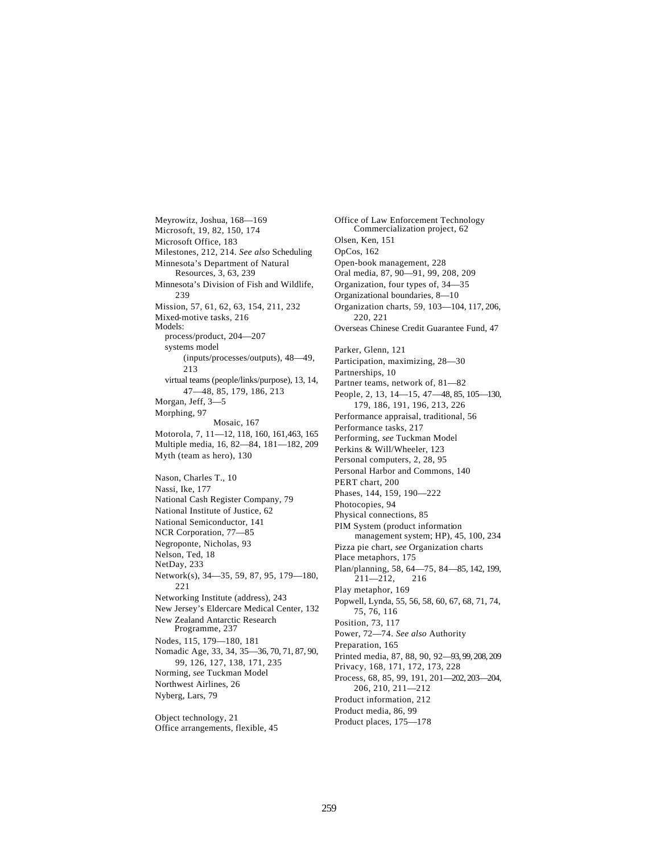Meyrowitz, Joshua, 168—169 Microsoft, 19, 82, 150, 174 Microsoft Office, 183 Milestones, 212, 214. *See also* Scheduling Minnesota's Department of Natural Resources, 3, 63, 239 Minnesota's Division of Fish and Wildlife, 239 Mission, 57, 61, 62, 63, 154, 211, 232 Mixed-motive tasks, 216 Models: process/product, 204—207 systems model (inputs/processes/outputs), 48—49, 213 virtual teams (people/links/purpose), 13, 14, 47—48, 85, 179, 186, 213 Morgan, Jeff, 3—5 Morphing, 97 Mosaic, 167 Motorola, 7, 11—12, 118, 160, 161,463, 165 Multiple media, 16, 82—84, 181—182, 209 Myth (team as hero), 130 Nason, Charles T., 10 Nassi, Ike, 177 National Cash Register Company, 79 National Institute of Justice, 62 National Semiconductor, 141 NCR Corporation, 77—85 Negroponte, Nicholas, 93 Nelson, Ted, 18 NetDay, 233 Network(s), 34—35, 59, 87, 95, 179—180, 221 Networking Institute (address), 243 New Jersey's Eldercare Medical Center, 132 New Zealand Antarctic Research Programme, 237 Nodes, 115, 179—180, 181 Nomadic Age, 33, 34, 35—36, 70, 71, 87, 90, 99, 126, 127, 138, 171, 235 Norming, *see* Tuckman Model Northwest Airlines, 26 Nyberg, Lars, 79

Object technology, 21 Office arrangements, flexible, 45 Office of Law Enforcement Technology Commercialization project, 62 Olsen, Ken, 151 OpCos, 162 Open-book management, 228 Oral media, 87, 90—91, 99, 208, 209 Organization, four types of, 34—35 Organizational boundaries, 8—10 Organization charts, 59, 103—104, 117, 206, 220, 221 Overseas Chinese Credit Guarantee Fund, 47 Parker, Glenn, 121 Participation, maximizing, 28—30 Partnerships, 10 Partner teams, network of, 81—82 People, 2, 13, 14—15, 47—48, 85, 105—130, 179, 186, 191, 196, 213, 226 Performance appraisal, traditional, 56 Performance tasks, 217 Performing, *see* Tuckman Model Perkins & Will/Wheeler, 123 Personal computers, 2, 28, 95 Personal Harbor and Commons, 140 PERT chart, 200 Phases, 144, 159, 190—222 Photocopies, 94 Physical connections, 85 PIM System (product information management system; HP), 45, 100, 234 Pizza pie chart, *see* Organization charts Place metaphors, 175 Plan/planning, 58, 64—75, 84—85, 142, 199,  $211 - 212$ , 216 Play metaphor, 169 Popwell, Lynda, 55, 56, 58, 60, 67, 68, 71, 74, 75, 76, 116 Position, 73, 117 Power, 72—74. *See also* Authority Preparation, 165 Printed media, 87, 88, 90, 92—93, 99, 208, 209 Privacy, 168, 171, 172, 173, 228 Process, 68, 85, 99, 191, 201—202, 203—204, 206, 210, 211—212 Product information, 212 Product media, 86, 99 Product places, 175—178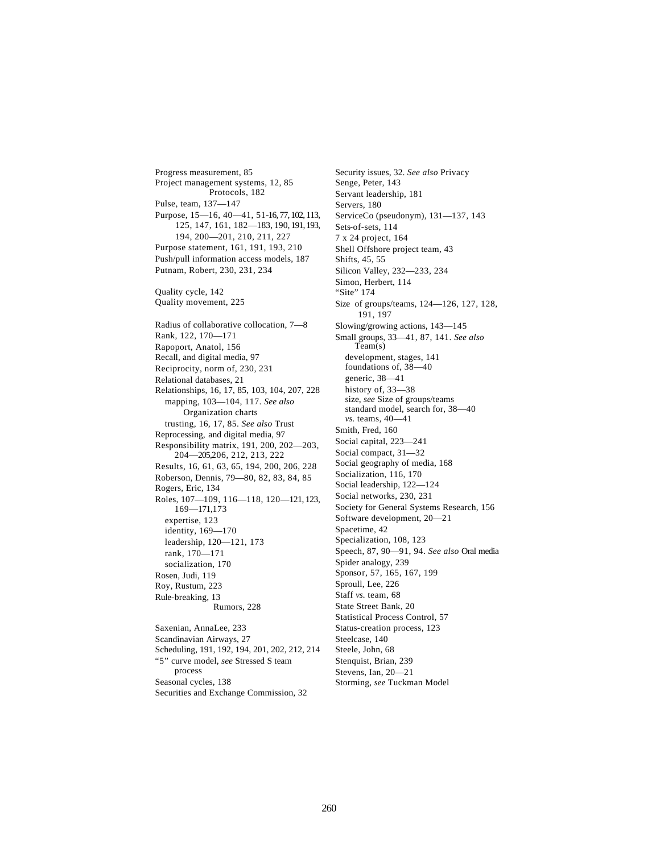Progress measurement, 85 Project management systems, 12, 85 Protocols, 182 Pulse, team, 137—147 Purpose, 15—16, 40—41, 51-16, 77, 102, 113, 125, 147, 161, 182—183, 190, 191, 193, 194, 200—201, 210, 211, 227 Purpose statement, 161, 191, 193, 210 Push/pull information access models, 187 Putnam, Robert, 230, 231, 234 Quality cycle, 142 Quality movement, 225 Radius of collaborative collocation, 7—8 Rank, 122, 170—171 Rapoport, Anatol, 156 Recall, and digital media, 97 Reciprocity, norm of, 230, 231 Relational databases, 21 Relationships, 16, 17, 85, 103, 104, 207, 228 mapping, 103—104, 117. *See also* Organization charts trusting, 16, 17, 85. *See also* Trust Reprocessing, and digital media, 97 Responsibility matrix, 191, 200, 202—203, 204—205,206, 212, 213, 222 Results, 16, 61, 63, 65, 194, 200, 206, 228 Roberson, Dennis, 79—80, 82, 83, 84, 85 Rogers, Eric, 134 Roles, 107—109, 116—118, 120—121, 123, 169—171,173 expertise, 123 identity, 169—170 leadership, 120—121, 173 rank, 170—171 socialization, 170 Rosen, Judi, 119 Roy, Rustum, 223 Rule-breaking, 13 Rumors, 228 Saxenian, AnnaLee, 233 Scandinavian Airways, 27 Scheduling, 191, 192, 194, 201, 202, 212, 214 "5" curve model, *see* Stressed S team process

Seasonal cycles, 138 Securities and Exchange Commission, 32

Security issues, 32. *See also* Privacy Senge, Peter, 143 Servant leadership, 181 Servers, 180 ServiceCo (pseudonym), 131—137, 143 Sets-of-sets, 114 7 x 24 project, 164 Shell Offshore project team, 43 Shifts, 45, 55 Silicon Valley, 232—233, 234 Simon, Herbert, 114 "Site" 174 Size of groups/teams, 124—126, 127, 128, 191, 197 Slowing/growing actions, 143—145 Small groups, 33—41, 87, 141. *See also* Team(s) development, stages, 141 foundations of, 38—40 generic, 38—41 history of, 33-38 size, *see* Size of groups/teams standard model, search for, 38—40 *vs.* teams, 40—41 Smith, Fred, 160 Social capital, 223—241 Social compact, 31—32 Social geography of media, 168 Socialization, 116, 170 Social leadership, 122—124 Social networks, 230, 231 Society for General Systems Research, 156 Software development, 20—21 Spacetime, 42 Specialization, 108, 123 Speech, 87, 90—91, 94. *See also* Oral media Spider analogy, 239 Sponsor, 57, 165, 167, 199 Sproull, Lee, 226 Staff *vs.* team, 68 State Street Bank, 20 Statistical Process Control, 57 Status-creation process, 123 Steelcase, 140 Steele, John, 68 Stenquist, Brian, 239 Stevens, Ian, 20—21 Storming, *see* Tuckman Model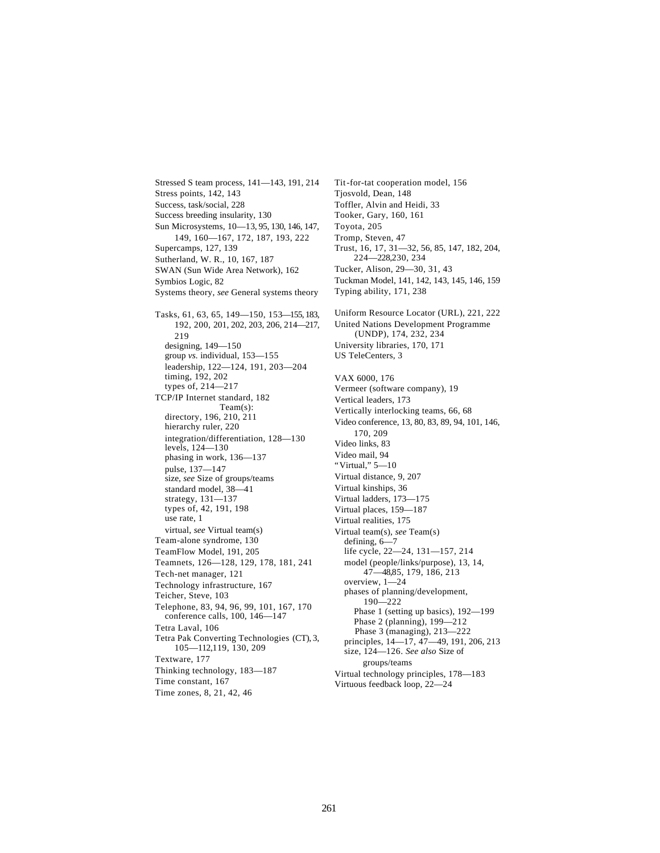Stressed S team process, 141—143, 191, 214 Stress points, 142, 143 Success, task/social, 228 Success breeding insularity, 130 Sun Microsystems, 10—13, 95, 130, 146, 147, 149, 160—167, 172, 187, 193, 222 Supercamps, 127, 139 Sutherland, W. R., 10, 167, 187 SWAN (Sun Wide Area Network), 162 Symbios Logic, 82 Systems theory, *see* General systems theory Tasks, 61, 63, 65, 149—150, 153—155, 183, 192, 200, 201, 202, 203, 206, 214—217, 219 designing, 149—150 group *vs.* individual, 153—155 leadership, 122—124, 191, 203—204 timing, 192, 202 types of, 214—217 TCP/IP Internet standard, 182 Team(s): directory, 196, 210, 211 hierarchy ruler, 220 integration/differentiation, 128—130 levels, 124—130 phasing in work, 136—137 pulse, 137—147 size, *see* Size of groups/teams standard model, 38—41 strategy, 131—137 types of, 42, 191, 198 use rate, 1 virtual, *see* Virtual team(s) Team-alone syndrome, 130 TeamFlow Model, 191, 205 Teamnets, 126—128, 129, 178, 181, 241 Tech-net manager, 121 Technology infrastructure, 167 Teicher, Steve, 103 Telephone, 83, 94, 96, 99, 101, 167, 170 conference calls, 100, 146—147 Tetra Laval, 106 Tetra Pak Converting Technologies (CT), 3, 105—112,119, 130, 209 Textware, 177 Thinking technology, 183—187 Time constant, 167 Time zones, 8, 21, 42, 46

Tit-for-tat cooperation model, 156 Tjosvold, Dean, 148 Toffler, Alvin and Heidi, 33 Tooker, Gary, 160, 161 Toyota, 205 Tromp, Steven, 47 Trust, 16, 17, 31—32, 56, 85, 147, 182, 204, 224—228,230, 234 Tucker, Alison, 29—30, 31, 43 Tuckman Model, 141, 142, 143, 145, 146, 159 Typing ability, 171, 238 Uniform Resource Locator (URL), 221, 222 United Nations Development Programme (UNDP), 174, 232, 234 University libraries, 170, 171 US TeleCenters, 3 VAX 6000, 176 Vermeer (software company), 19 Vertical leaders, 173 Vertically interlocking teams, 66, 68 Video conference, 13, 80, 83, 89, 94, 101, 146, 170, 209 Video links, 83 Video mail, 94 "Virtual," 5—10 Virtual distance, 9, 207 Virtual kinships, 36 Virtual ladders, 173—175 Virtual places, 159—187 Virtual realities, 175 Virtual team(s), *see* Team(s) defining, 6—7 life cycle, 22—24, 131—157, 214 model (people/links/purpose), 13, 14, 47—48,85, 179, 186, 213 overview, 1—24 phases of planning/development, 190—222 Phase 1 (setting up basics), 192—199 Phase 2 (planning), 199—212 Phase 3 (managing), 213—222 principles, 14—17, 47—49, 191, 206, 213 size, 124—126. *See also* Size of groups/teams Virtual technology principles, 178—183 Virtuous feedback loop, 22—24